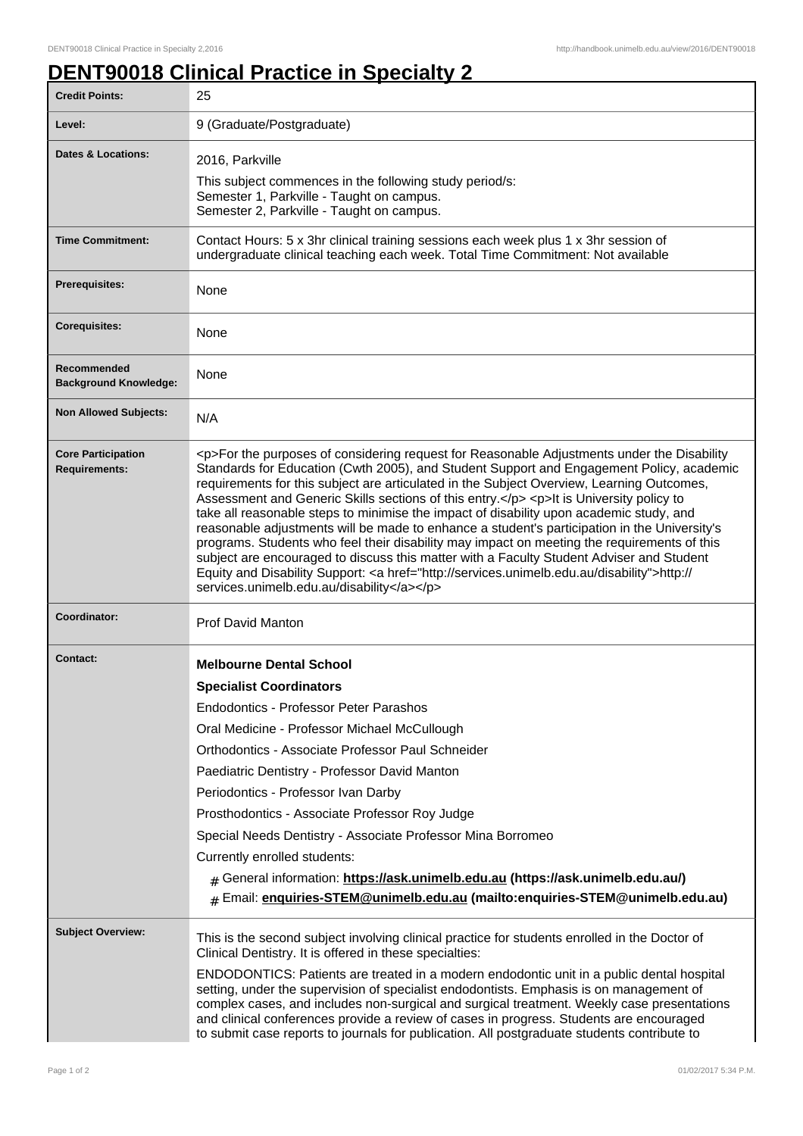## **DENT90018 Clinical Practice in Specialty 2**

| <b>Credit Points:</b>                             | 25                                                                                                                                                                                                                                                                                                                                                                                                                                                                                                                                                                                                                                                                                                                                                                                                                                                                                                                           |
|---------------------------------------------------|------------------------------------------------------------------------------------------------------------------------------------------------------------------------------------------------------------------------------------------------------------------------------------------------------------------------------------------------------------------------------------------------------------------------------------------------------------------------------------------------------------------------------------------------------------------------------------------------------------------------------------------------------------------------------------------------------------------------------------------------------------------------------------------------------------------------------------------------------------------------------------------------------------------------------|
| Level:                                            | 9 (Graduate/Postgraduate)                                                                                                                                                                                                                                                                                                                                                                                                                                                                                                                                                                                                                                                                                                                                                                                                                                                                                                    |
| <b>Dates &amp; Locations:</b>                     | 2016, Parkville<br>This subject commences in the following study period/s:<br>Semester 1, Parkville - Taught on campus.<br>Semester 2, Parkville - Taught on campus.                                                                                                                                                                                                                                                                                                                                                                                                                                                                                                                                                                                                                                                                                                                                                         |
| <b>Time Commitment:</b>                           | Contact Hours: 5 x 3hr clinical training sessions each week plus 1 x 3hr session of<br>undergraduate clinical teaching each week. Total Time Commitment: Not available                                                                                                                                                                                                                                                                                                                                                                                                                                                                                                                                                                                                                                                                                                                                                       |
| <b>Prerequisites:</b>                             | None                                                                                                                                                                                                                                                                                                                                                                                                                                                                                                                                                                                                                                                                                                                                                                                                                                                                                                                         |
| <b>Corequisites:</b>                              | None                                                                                                                                                                                                                                                                                                                                                                                                                                                                                                                                                                                                                                                                                                                                                                                                                                                                                                                         |
| Recommended<br><b>Background Knowledge:</b>       | None                                                                                                                                                                                                                                                                                                                                                                                                                                                                                                                                                                                                                                                                                                                                                                                                                                                                                                                         |
| <b>Non Allowed Subjects:</b>                      | N/A                                                                                                                                                                                                                                                                                                                                                                                                                                                                                                                                                                                                                                                                                                                                                                                                                                                                                                                          |
| <b>Core Participation</b><br><b>Requirements:</b> | <p>For the purposes of considering request for Reasonable Adjustments under the Disability<br/>Standards for Education (Cwth 2005), and Student Support and Engagement Policy, academic<br/>requirements for this subject are articulated in the Subject Overview, Learning Outcomes,<br/>Assessment and Generic Skills sections of this entry.</p> <p>lt is University policy to<br/>take all reasonable steps to minimise the impact of disability upon academic study, and<br/>reasonable adjustments will be made to enhance a student's participation in the University's<br/>programs. Students who feel their disability may impact on meeting the requirements of this<br/>subject are encouraged to discuss this matter with a Faculty Student Adviser and Student<br/>Equity and Disability Support: &lt; a href="http://services.unimelb.edu.au/disability"&gt;http://<br/>services.unimelb.edu.au/disability</p> |
| Coordinator:                                      | <b>Prof David Manton</b>                                                                                                                                                                                                                                                                                                                                                                                                                                                                                                                                                                                                                                                                                                                                                                                                                                                                                                     |
| <b>Contact:</b>                                   | <b>Melbourne Dental School</b><br><b>Specialist Coordinators</b><br><b>Endodontics - Professor Peter Parashos</b><br>Oral Medicine - Professor Michael McCullough<br>Orthodontics - Associate Professor Paul Schneider<br>Paediatric Dentistry - Professor David Manton<br>Periodontics - Professor Ivan Darby<br>Prosthodontics - Associate Professor Roy Judge<br>Special Needs Dentistry - Associate Professor Mina Borromeo<br>Currently enrolled students:<br># General information: https://ask.unimelb.edu.au (https://ask.unimelb.edu.au/)<br># Email: enquiries-STEM@unimelb.edu.au (mailto:enquiries-STEM@unimelb.edu.au)                                                                                                                                                                                                                                                                                          |
| <b>Subject Overview:</b>                          | This is the second subject involving clinical practice for students enrolled in the Doctor of<br>Clinical Dentistry. It is offered in these specialties:<br>ENDODONTICS: Patients are treated in a modern endodontic unit in a public dental hospital<br>setting, under the supervision of specialist endodontists. Emphasis is on management of<br>complex cases, and includes non-surgical and surgical treatment. Weekly case presentations<br>and clinical conferences provide a review of cases in progress. Students are encouraged<br>to submit case reports to journals for publication. All postgraduate students contribute to                                                                                                                                                                                                                                                                                     |